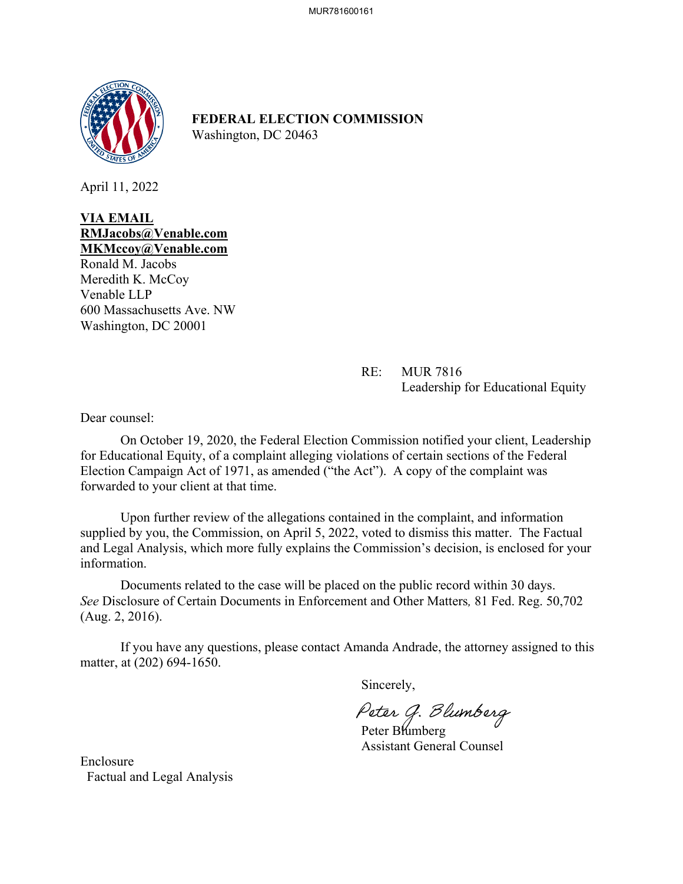

**FEDERAL ELECTION COMMISSION** Washington, DC 20463

April 11, 2022

**VIA EMAIL RMJacobs@Venable.com MKMccoy@Venable.com**

Ronald M. Jacobs Meredith K. McCoy Venable LLP 600 Massachusetts Ave. NW Washington, DC 20001

> RE: MUR 7816 Leadership for Educational Equity

Dear counsel:

On October 19, 2020, the Federal Election Commission notified your client, Leadership for Educational Equity, of a complaint alleging violations of certain sections of the Federal Election Campaign Act of 1971, as amended ("the Act"). A copy of the complaint was forwarded to your client at that time.

 Upon further review of the allegations contained in the complaint, and information supplied by you, the Commission, on April 5, 2022, voted to dismiss this matter. The Factual and Legal Analysis, which more fully explains the Commission's decision, is enclosed for your information.

Documents related to the case will be placed on the public record within 30 days. *See* Disclosure of Certain Documents in Enforcement and Other Matters*,* 81 Fed. Reg. 50,702 (Aug. 2, 2016).

If you have any questions, please contact Amanda Andrade, the attorney assigned to this matter, at (202) 694-1650.

Sincerely,

Peter G. Blumberg<br>Peter Blumberg

Assistant General Counsel

Enclosure Factual and Legal Analysis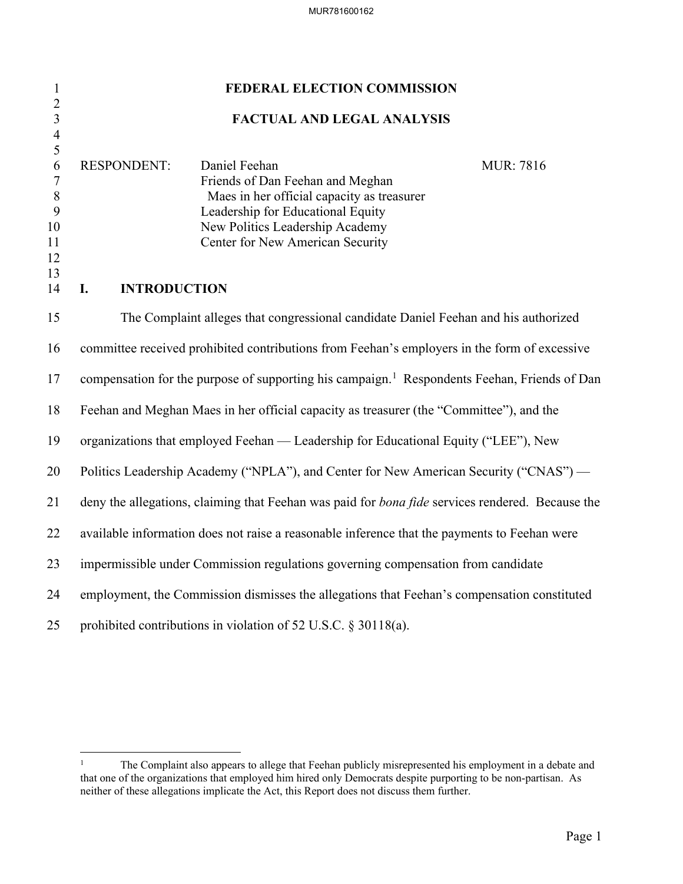| $\mathbf{1}$<br>$\overline{2}$                         | FEDERAL ELECTION COMMISSION                                                                              |                                                                                             |                  |  |  |  |
|--------------------------------------------------------|----------------------------------------------------------------------------------------------------------|---------------------------------------------------------------------------------------------|------------------|--|--|--|
| $\overline{\mathbf{3}}$                                |                                                                                                          | <b>FACTUAL AND LEGAL ANALYSIS</b>                                                           |                  |  |  |  |
| $\overline{\mathcal{A}}$<br>5<br>6<br>$\boldsymbol{7}$ | <b>RESPONDENT:</b>                                                                                       | Daniel Feehan<br>Friends of Dan Feehan and Meghan                                           | <b>MUR: 7816</b> |  |  |  |
| $8\,$<br>$\mathbf{9}$                                  |                                                                                                          | Maes in her official capacity as treasurer<br>Leadership for Educational Equity             |                  |  |  |  |
| 10                                                     |                                                                                                          | New Politics Leadership Academy                                                             |                  |  |  |  |
| 11<br>12                                               |                                                                                                          | Center for New American Security                                                            |                  |  |  |  |
| 13<br>14                                               | I.<br><b>INTRODUCTION</b>                                                                                |                                                                                             |                  |  |  |  |
|                                                        |                                                                                                          |                                                                                             |                  |  |  |  |
| 15                                                     |                                                                                                          | The Complaint alleges that congressional candidate Daniel Feehan and his authorized         |                  |  |  |  |
| 16                                                     | committee received prohibited contributions from Feehan's employers in the form of excessive             |                                                                                             |                  |  |  |  |
| 17                                                     | compensation for the purpose of supporting his campaign. <sup>1</sup> Respondents Feehan, Friends of Dan |                                                                                             |                  |  |  |  |
| 18                                                     | Feehan and Meghan Maes in her official capacity as treasurer (the "Committee"), and the                  |                                                                                             |                  |  |  |  |
| 19                                                     | organizations that employed Feehan — Leadership for Educational Equity ("LEE"), New                      |                                                                                             |                  |  |  |  |
| 20                                                     | Politics Leadership Academy ("NPLA"), and Center for New American Security ("CNAS") —                    |                                                                                             |                  |  |  |  |
| 21                                                     | deny the allegations, claiming that Feehan was paid for bona fide services rendered. Because the         |                                                                                             |                  |  |  |  |
| 22                                                     | available information does not raise a reasonable inference that the payments to Feehan were             |                                                                                             |                  |  |  |  |
| 23                                                     |                                                                                                          | impermissible under Commission regulations governing compensation from candidate            |                  |  |  |  |
| 24                                                     |                                                                                                          | employment, the Commission dismisses the allegations that Feehan's compensation constituted |                  |  |  |  |
| 25                                                     | prohibited contributions in violation of 52 U.S.C. § 30118(a).                                           |                                                                                             |                  |  |  |  |

<span id="page-1-0"></span><sup>&</sup>lt;sup>1</sup> The Complaint also appears to allege that Feehan publicly misrepresented his employment in a debate and that one of the organizations that employed him hired only Democrats despite purporting to be non-partisan. As neither of these allegations implicate the Act, this Report does not discuss them further.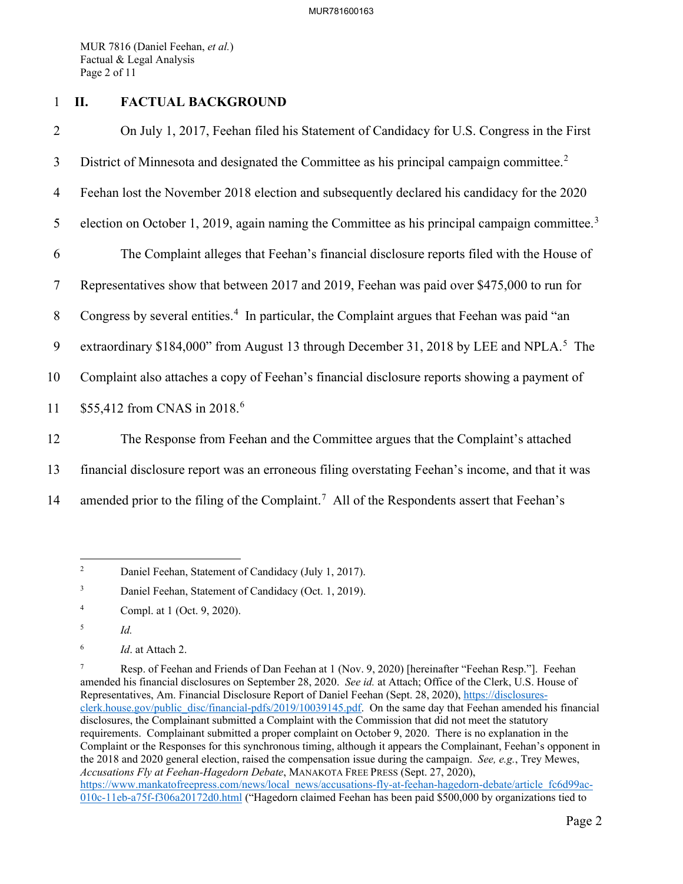MUR 7816 (Daniel Feehan, *et al.*) Factual & Legal Analysis Page 2 of 11

## 1 **II. FACTUAL BACKGROUND**

2 On July 1, 2017, Feehan filed his Statement of Candidacy for U.S. Congress in the First 3 District of Minnesota and designated the Committee as his principal campaign committee.<sup>[2](#page-2-0)</sup> 4 Feehan lost the November 2018 election and subsequently declared his candidacy for the 2020 5 election on October 1, 2019, again naming the Committee as his principal campaign committee.<sup>[3](#page-2-1)</sup> 6 The Complaint alleges that Feehan's financial disclosure reports filed with the House of 7 Representatives show that between 2017 and 2019, Feehan was paid over \$475,000 to run for 8 Congress by several entities.<sup>[4](#page-2-2)</sup> In particular, the Complaint argues that Feehan was paid "an 9 extraordinary \$184,000" from August 13 through December 31, 2018 by LEE and NPLA.<sup>[5](#page-2-3)</sup> The 10 Complaint also attaches a copy of Feehan's financial disclosure reports showing a payment of 11 \$55,412 from CNAS in 2018.<sup>[6](#page-2-4)</sup> 12 The Response from Feehan and the Committee argues that the Complaint's attached 13 financial disclosure report was an erroneous filing overstating Feehan's income, and that it was

14 amended prior to the filing of the Complaint.<sup>[7](#page-2-5)</sup> All of the Respondents assert that Feehan's

<span id="page-2-0"></span><sup>2</sup> Daniel Feehan, Statement of Candidacy (July 1, 2017).

<span id="page-2-1"></span><sup>3</sup> Daniel Feehan, Statement of Candidacy (Oct. 1, 2019).

<span id="page-2-2"></span><sup>4</sup> Compl. at 1 (Oct. 9, 2020).

<span id="page-2-3"></span><sup>5</sup> *Id.*

<span id="page-2-4"></span><sup>6</sup> *Id*. at Attach 2.

<span id="page-2-5"></span><sup>7</sup> Resp. of Feehan and Friends of Dan Feehan at 1 (Nov. 9, 2020) [hereinafter "Feehan Resp."]. Feehan amended his financial disclosures on September 28, 2020. *See id.* at Attach; Office of the Clerk, U.S. House of Representatives, Am. Financial Disclosure Report of Daniel Feehan (Sept. 28, 2020), [https://disclosures](https://disclosures-clerk.house.gov/public_disc/financial-pdfs/2019/10039145.pdf)[clerk.house.gov/public\\_disc/financial-pdfs/2019/10039145.pdf.](https://disclosures-clerk.house.gov/public_disc/financial-pdfs/2019/10039145.pdf) On the same day that Feehan amended his financial disclosures, the Complainant submitted a Complaint with the Commission that did not meet the statutory requirements. Complainant submitted a proper complaint on October 9, 2020. There is no explanation in the Complaint or the Responses for this synchronous timing, although it appears the Complainant, Feehan's opponent in the 2018 and 2020 general election, raised the compensation issue during the campaign. *See, e.g.*, Trey Mewes, *Accusations Fly at Feehan-Hagedorn Debate*, MANAKOTA FREE PRESS (Sept. 27, 2020), [https://www.mankatofreepress.com/news/local\\_news/accusations-fly-at-feehan-hagedorn-debate/article\\_fc6d99ac-](https://www.mankatofreepress.com/news/local_news/accusations-fly-at-feehan-hagedorn-debate/article_fc6d99ac-010c-11eb-a75f-f306a20172d0.html)[010c-11eb-a75f-f306a20172d0.html](https://www.mankatofreepress.com/news/local_news/accusations-fly-at-feehan-hagedorn-debate/article_fc6d99ac-010c-11eb-a75f-f306a20172d0.html) ("Hagedorn claimed Feehan has been paid \$500,000 by organizations tied to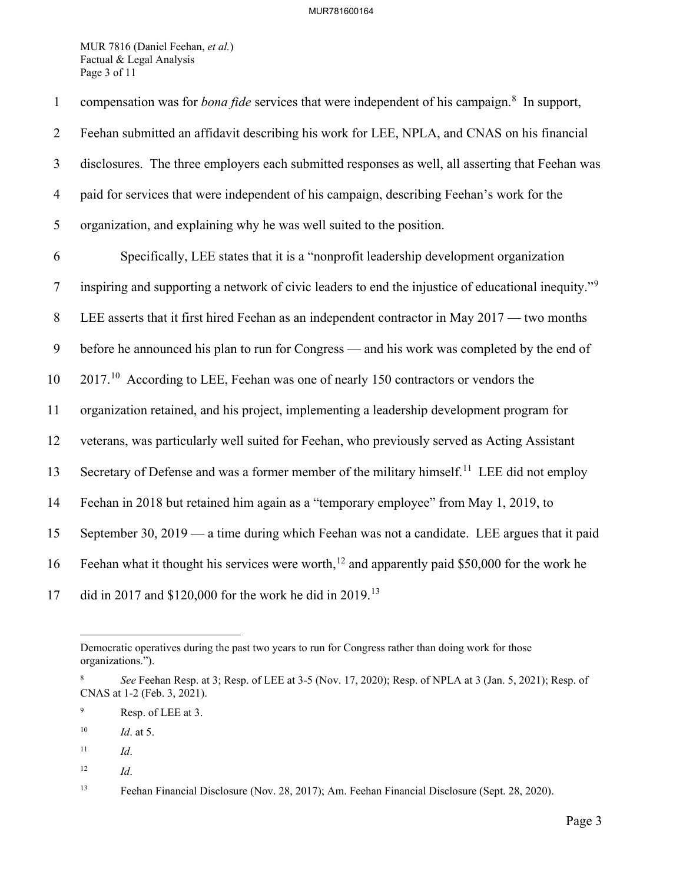MUR 7816 (Daniel Feehan, *et al.*) Factual & Legal Analysis Page 3 of 11

| $\mathbf{1}$   | compensation was for <i>bona fide</i> services that were independent of his campaign. <sup>8</sup> In support,  |
|----------------|-----------------------------------------------------------------------------------------------------------------|
| $\overline{2}$ | Feehan submitted an affidavit describing his work for LEE, NPLA, and CNAS on his financial                      |
| 3              | disclosures. The three employers each submitted responses as well, all asserting that Feehan was                |
| $\overline{4}$ | paid for services that were independent of his campaign, describing Feehan's work for the                       |
| 5              | organization, and explaining why he was well suited to the position.                                            |
| 6              | Specifically, LEE states that it is a "nonprofit leadership development organization                            |
| $\tau$         | inspiring and supporting a network of civic leaders to end the injustice of educational inequity." <sup>9</sup> |
| 8              | LEE asserts that it first hired Feehan as an independent contractor in May 2017 — two months                    |
| 9              | before he announced his plan to run for Congress — and his work was completed by the end of                     |
| 10             | $201710$ According to LEE, Feehan was one of nearly 150 contractors or vendors the                              |
| 11             | organization retained, and his project, implementing a leadership development program for                       |
| 12             | veterans, was particularly well suited for Feehan, who previously served as Acting Assistant                    |
| 13             | Secretary of Defense and was a former member of the military himself. <sup>11</sup> LEE did not employ          |
| 14             | Feehan in 2018 but retained him again as a "temporary employee" from May 1, 2019, to                            |
| 15             | September 30, 2019 — a time during which Feehan was not a candidate. LEE argues that it paid                    |
| 16             | Feehan what it thought his services were worth, <sup>12</sup> and apparently paid \$50,000 for the work he      |
| 17             | did in 2017 and \$120,000 for the work he did in 2019. <sup>13</sup>                                            |

Democratic operatives during the past two years to run for Congress rather than doing work for those organizations.").

<span id="page-3-0"></span><sup>8</sup> *See* Feehan Resp. at 3; Resp. of LEE at 3-5 (Nov. 17, 2020); Resp. of NPLA at 3 (Jan. 5, 2021); Resp. of CNAS at 1-2 (Feb. 3, 2021).

<span id="page-3-1"></span><sup>9</sup> Resp. of LEE at 3.

<span id="page-3-2"></span><sup>10</sup> *Id*. at 5.

<span id="page-3-3"></span> $11$  *Id.* 

<span id="page-3-4"></span><sup>12</sup> *Id*.

<span id="page-3-5"></span><sup>13</sup> Feehan Financial Disclosure (Nov. 28, 2017); Am. Feehan Financial Disclosure (Sept. 28, 2020).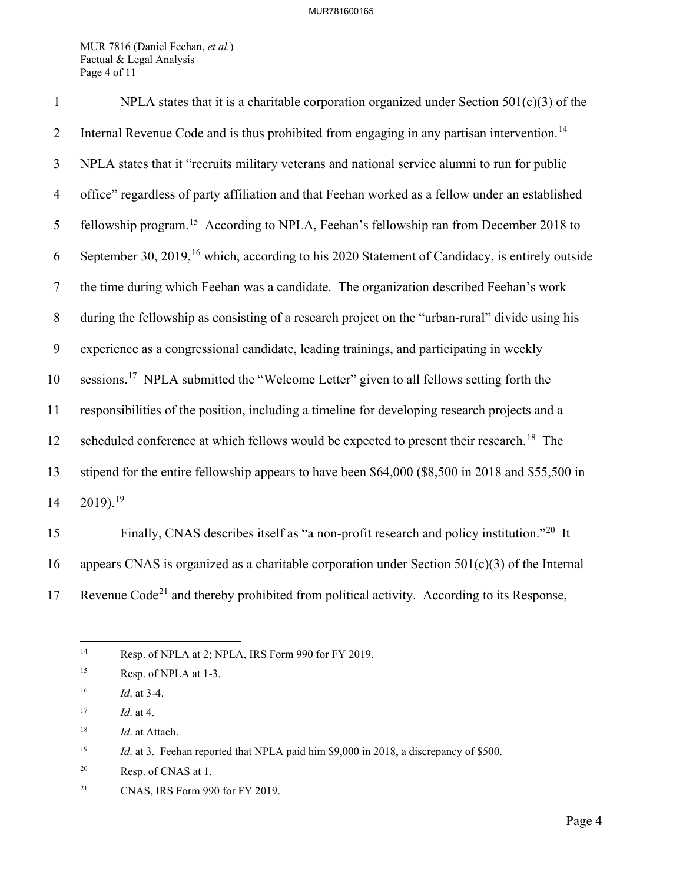MUR 7816 (Daniel Feehan, *et al.*) Factual & Legal Analysis Page 4 of 11

| $\mathbf{1}$   | NPLA states that it is a charitable corporation organized under Section $501(c)(3)$ of the                 |
|----------------|------------------------------------------------------------------------------------------------------------|
| $\overline{2}$ | Internal Revenue Code and is thus prohibited from engaging in any partisan intervention. <sup>14</sup>     |
| $\overline{3}$ | NPLA states that it "recruits military veterans and national service alumni to run for public              |
| $\overline{4}$ | office" regardless of party affiliation and that Feehan worked as a fellow under an established            |
| 5              | fellowship program. <sup>15</sup> According to NPLA, Feehan's fellowship ran from December 2018 to         |
| 6              | September 30, 2019, <sup>16</sup> which, according to his 2020 Statement of Candidacy, is entirely outside |
| $\tau$         | the time during which Feehan was a candidate. The organization described Feehan's work                     |
| $8\,$          | during the fellowship as consisting of a research project on the "urban-rural" divide using his            |
| 9              | experience as a congressional candidate, leading trainings, and participating in weekly                    |
| 10             | sessions. <sup>17</sup> NPLA submitted the "Welcome Letter" given to all fellows setting forth the         |
| 11             | responsibilities of the position, including a timeline for developing research projects and a              |
| 12             | scheduled conference at which fellows would be expected to present their research. <sup>18</sup> The       |
| 13             | stipend for the entire fellowship appears to have been \$64,000 (\$8,500 in 2018 and \$55,500 in           |
| 14             | $2019$ . <sup>19</sup>                                                                                     |
| 15             | Finally, CNAS describes itself as "a non-profit research and policy institution." <sup>20</sup> It         |

16 appears CNAS is organized as a charitable corporation under Section 501(c)(3) of the Internal 17 Revenue Code<sup>[21](#page-4-7)</sup> and thereby prohibited from political activity. According to its Response,

<span id="page-4-0"></span><sup>&</sup>lt;sup>14</sup> Resp. of NPLA at 2; NPLA, IRS Form 990 for FY 2019.

<span id="page-4-1"></span><sup>&</sup>lt;sup>15</sup> Resp. of NPLA at 1-3.

<span id="page-4-2"></span><sup>16</sup> *Id*. at 3-4.

<span id="page-4-3"></span><sup>17</sup> *Id*. at 4.

<span id="page-4-4"></span><sup>18</sup> *Id*. at Attach.

<span id="page-4-5"></span><sup>&</sup>lt;sup>19</sup> *Id.* at 3. Feehan reported that NPLA paid him \$9,000 in 2018, a discrepancy of \$500.

<span id="page-4-6"></span><sup>20</sup> Resp. of CNAS at 1.

<span id="page-4-7"></span><sup>21</sup> CNAS, IRS Form 990 for FY 2019.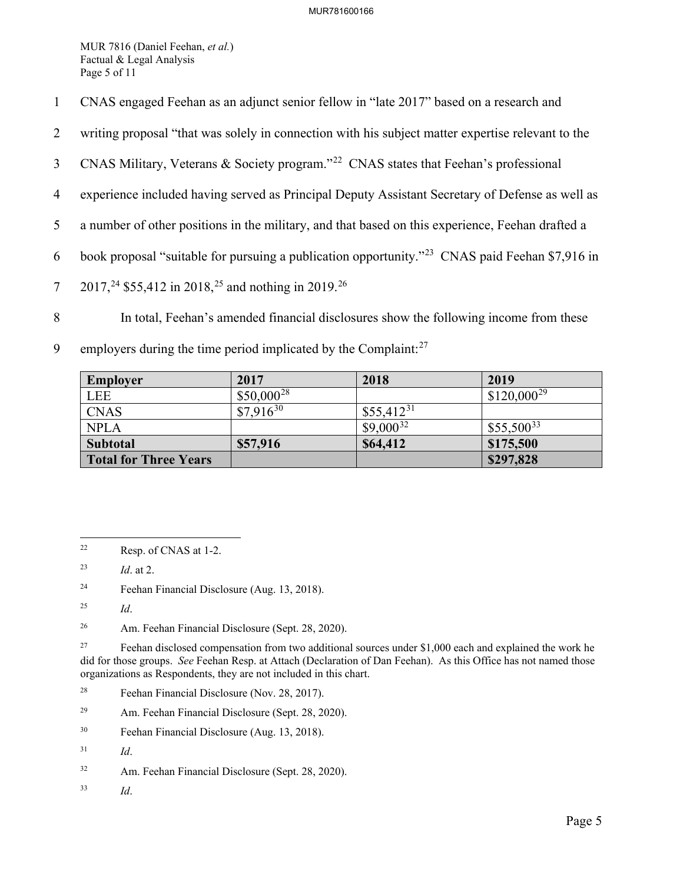MUR 7816 (Daniel Feehan, *et al.*) Factual & Legal Analysis Page 5 of 11

- 1 CNAS engaged Feehan as an adjunct senior fellow in "late 2017" based on a research and
- 2 writing proposal "that was solely in connection with his subject matter expertise relevant to the
- 3 CNAS Military, Veterans & Society program."<sup>[22](#page-5-0)</sup> CNAS states that Feehan's professional
- 4 experience included having served as Principal Deputy Assistant Secretary of Defense as well as
- 5 a number of other positions in the military, and that based on this experience, Feehan drafted a
- 6 book proposal "suitable for pursuing a publication opportunity."<sup>[23](#page-5-1)</sup> CNAS paid Feehan \$7,916 in
- 7 2017,<sup>24</sup> \$55,412 in 2018,<sup>[25](#page-5-3)</sup> and nothing in 2019.<sup>[26](#page-5-4)</sup>
- 8 In total, Feehan's amended financial disclosures show the following income from these
- 9 employers during the time period implicated by the Complaint: $27$

| Employer                     | 2017            | 2018           | 2019            |
|------------------------------|-----------------|----------------|-----------------|
| <b>LEE</b>                   | $$50,000^{28}$$ |                | $$120,000^{29}$ |
| <b>CNAS</b>                  | $$7,916^{30}$   | $$55,412^{31}$ |                 |
| <b>NPLA</b>                  |                 | $$9,000^{32}$  | $$55,500^{33}$  |
| <b>Subtotal</b>              | \$57,916        | \$64,412       | \$175,500       |
| <b>Total for Three Years</b> |                 |                | \$297,828       |

<span id="page-5-2"></span>24 Feehan Financial Disclosure (Aug. 13, 2018).

- <span id="page-5-7"></span>29 Am. Feehan Financial Disclosure (Sept. 28, 2020).
- <span id="page-5-8"></span>30 Feehan Financial Disclosure (Aug. 13, 2018).

<span id="page-5-11"></span>33 *Id*.

<span id="page-5-0"></span><sup>22</sup> Resp. of CNAS at 1-2.

<span id="page-5-1"></span><sup>23</sup> *Id*. at 2.

<span id="page-5-3"></span><sup>25</sup> *Id*.

<span id="page-5-4"></span><sup>26</sup> Am. Feehan Financial Disclosure (Sept. 28, 2020).

<span id="page-5-5"></span><sup>&</sup>lt;sup>27</sup> Feehan disclosed compensation from two additional sources under \$1,000 each and explained the work he did for those groups. *See* Feehan Resp. at Attach (Declaration of Dan Feehan). As this Office has not named those organizations as Respondents, they are not included in this chart.

<span id="page-5-6"></span><sup>28</sup> Feehan Financial Disclosure (Nov. 28, 2017).

<span id="page-5-9"></span><sup>31</sup> *Id*.

<span id="page-5-10"></span><sup>32</sup> Am. Feehan Financial Disclosure (Sept. 28, 2020).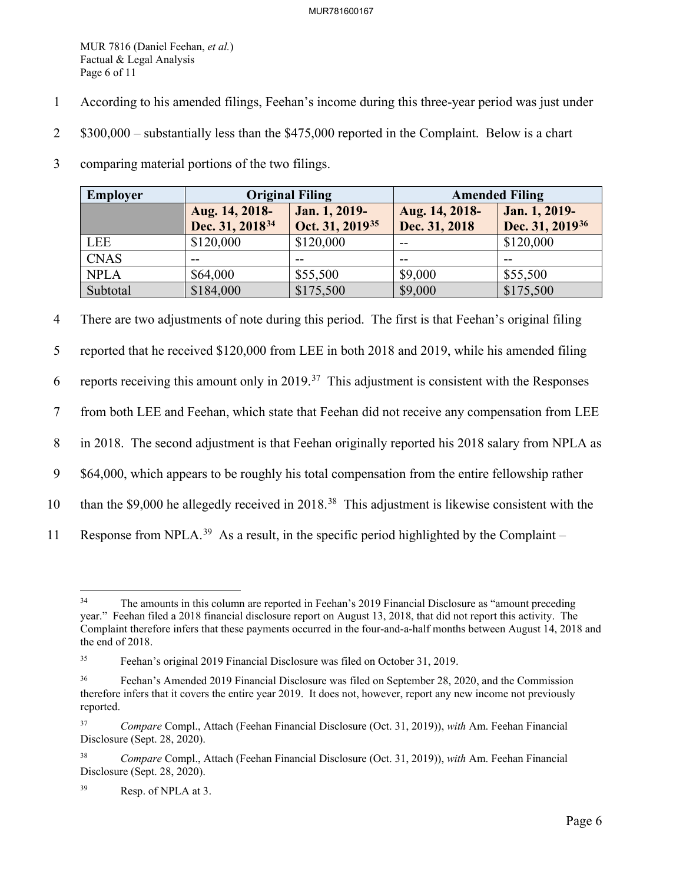MUR 7816 (Daniel Feehan, *et al.*) Factual & Legal Analysis Page 6 of 11

- 1 According to his amended filings, Feehan's income during this three-year period was just under
- 2 \$300,000 substantially less than the \$475,000 reported in the Complaint. Below is a chart
- 3 comparing material portions of the two filings.

| Employer    | <b>Original Filing</b>                        |                                              | <b>Amended Filing</b>           |                                              |
|-------------|-----------------------------------------------|----------------------------------------------|---------------------------------|----------------------------------------------|
|             | Aug. 14, 2018-<br>Dec. 31, 2018 <sup>34</sup> | Jan. 1, 2019-<br>Oct. 31, 2019 <sup>35</sup> | Aug. 14, 2018-<br>Dec. 31, 2018 | Jan. 1, 2019-<br>Dec. 31, 2019 <sup>36</sup> |
| LEE         | \$120,000                                     | \$120,000                                    | $- -$                           | \$120,000                                    |
| <b>CNAS</b> | --                                            |                                              | --                              |                                              |
| <b>NPLA</b> | \$64,000                                      | \$55,500                                     | \$9,000                         | \$55,500                                     |
| Subtotal    | \$184,000                                     | \$175,500                                    | \$9,000                         | \$175,500                                    |

4 There are two adjustments of note during this period. The first is that Feehan's original filing

5 reported that he received \$120,000 from LEE in both 2018 and 2019, while his amended filing

6 reports receiving this amount only in 2019.<sup>37</sup> This adjustment is consistent with the Responses

7 from both LEE and Feehan, which state that Feehan did not receive any compensation from LEE

8 in 2018. The second adjustment is that Feehan originally reported his 2018 salary from NPLA as

9 \$64,000, which appears to be roughly his total compensation from the entire fellowship rather

- 10 than the \$9,000 he allegedly received in 2018.<sup>[38](#page-6-4)</sup> This adjustment is likewise consistent with the
- 11 Response from NPLA.<sup>[39](#page-6-5)</sup> As a result, in the specific period highlighted by the Complaint –

<span id="page-6-0"></span><sup>&</sup>lt;sup>34</sup> The amounts in this column are reported in Feehan's 2019 Financial Disclosure as "amount preceding" year." Feehan filed a 2018 financial disclosure report on August 13, 2018, that did not report this activity. The Complaint therefore infers that these payments occurred in the four-and-a-half months between August 14, 2018 and the end of 2018.

<span id="page-6-1"></span><sup>35</sup> Feehan's original 2019 Financial Disclosure was filed on October 31, 2019.

<span id="page-6-2"></span><sup>&</sup>lt;sup>36</sup> Feehan's Amended 2019 Financial Disclosure was filed on September 28, 2020, and the Commission therefore infers that it covers the entire year 2019. It does not, however, report any new income not previously reported.

<span id="page-6-3"></span><sup>37</sup> *Compare* Compl., Attach (Feehan Financial Disclosure (Oct. 31, 2019)), *with* Am. Feehan Financial Disclosure (Sept. 28, 2020).

<span id="page-6-4"></span><sup>38</sup> *Compare* Compl., Attach (Feehan Financial Disclosure (Oct. 31, 2019)), *with* Am. Feehan Financial Disclosure (Sept. 28, 2020).

<span id="page-6-5"></span><sup>39</sup> Resp. of NPLA at 3.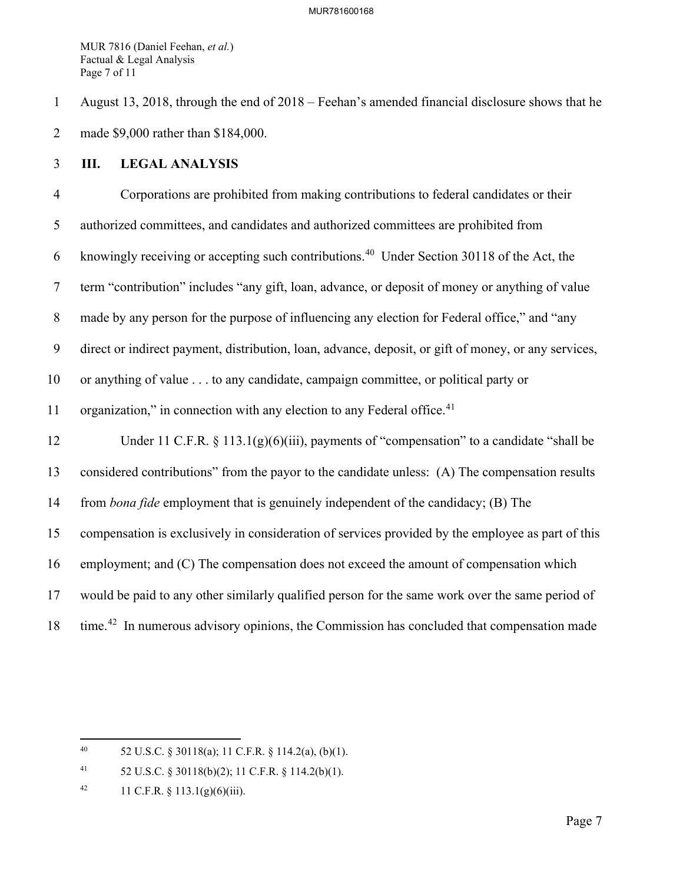MUR 7816 (Daniel Feehan, *et al.*) Factual & Legal Analysis Page 7 of 11

1 August 13, 2018, through the end of 2018 – Feehan's amended financial disclosure shows that he 2 made \$9,000 rather than \$184,000.

## 3 **III. LEGAL ANALYSIS**

4 Corporations are prohibited from making contributions to federal candidates or their 5 authorized committees, and candidates and authorized committees are prohibited from 6 knowingly receiving or accepting such contributions.<sup>[40](#page-7-0)</sup> Under Section 30118 of the Act, the 7 term "contribution" includes "any gift, loan, advance, or deposit of money or anything of value 8 made by any person for the purpose of influencing any election for Federal office," and "any 9 direct or indirect payment, distribution, loan, advance, deposit, or gift of money, or any services, 10 or anything of value . . . to any candidate, campaign committee, or political party or 11 organization," in connection with any election to any Federal office. $41$ 12 Under 11 C.F.R. § 113.1(g)(6)(iii), payments of "compensation" to a candidate "shall be 13 considered contributions" from the payor to the candidate unless: (A) The compensation results 14 from *bona fide* employment that is genuinely independent of the candidacy; (B) The 15 compensation is exclusively in consideration of services provided by the employee as part of this 16 employment; and (C) The compensation does not exceed the amount of compensation which 17 would be paid to any other similarly qualified person for the same work over the same period of 18 time.<sup>[42](#page-7-2)</sup> In numerous advisory opinions, the Commission has concluded that compensation made

<span id="page-7-0"></span><sup>40 52</sup> U.S.C. § 30118(a); 11 C.F.R. § 114.2(a), (b)(1).

<span id="page-7-1"></span><sup>41 52</sup> U.S.C. § 30118(b)(2); 11 C.F.R. § 114.2(b)(1).

<span id="page-7-2"></span><sup>42 11</sup> C.F.R.  $\S$  113.1(g)(6)(iii).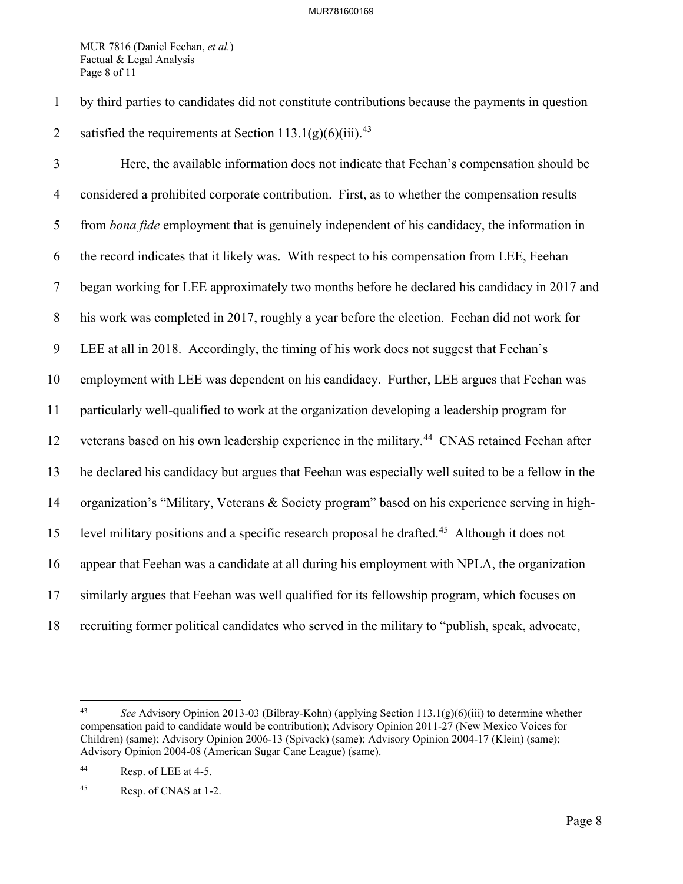MUR 7816 (Daniel Feehan, *et al.*) Factual & Legal Analysis Page 8 of 11

1 by third parties to candidates did not constitute contributions because the payments in question 2 satisfied the requirements at Section  $113.1(g)(6)(iii)$ .<sup>[43](#page-8-0)</sup>

3 Here, the available information does not indicate that Feehan's compensation should be 4 considered a prohibited corporate contribution. First, as to whether the compensation results 5 from *bona fide* employment that is genuinely independent of his candidacy, the information in 6 the record indicates that it likely was. With respect to his compensation from LEE, Feehan 7 began working for LEE approximately two months before he declared his candidacy in 2017 and 8 his work was completed in 2017, roughly a year before the election. Feehan did not work for 9 LEE at all in 2018. Accordingly, the timing of his work does not suggest that Feehan's 10 employment with LEE was dependent on his candidacy. Further, LEE argues that Feehan was 11 particularly well-qualified to work at the organization developing a leadership program for 12 veterans based on his own leadership experience in the military.<sup>[44](#page-8-1)</sup> CNAS retained Feehan after 13 he declared his candidacy but argues that Feehan was especially well suited to be a fellow in the 14 organization's "Military, Veterans & Society program" based on his experience serving in high-15 level military positions and a specific research proposal he drafted.<sup>[45](#page-8-2)</sup> Although it does not 16 appear that Feehan was a candidate at all during his employment with NPLA, the organization 17 similarly argues that Feehan was well qualified for its fellowship program, which focuses on 18 recruiting former political candidates who served in the military to "publish, speak, advocate,

<span id="page-8-0"></span><sup>43</sup> *See* Advisory Opinion 2013-03 (Bilbray-Kohn) (applying Section 113.1(g)(6)(iii) to determine whether compensation paid to candidate would be contribution); Advisory Opinion 2011-27 (New Mexico Voices for Children) (same); Advisory Opinion 2006-13 (Spivack) (same); Advisory Opinion 2004-17 (Klein) (same); Advisory Opinion 2004-08 (American Sugar Cane League) (same).

<span id="page-8-1"></span><sup>44</sup> Resp. of LEE at 4-5.

<span id="page-8-2"></span><sup>45</sup> Resp. of CNAS at 1-2.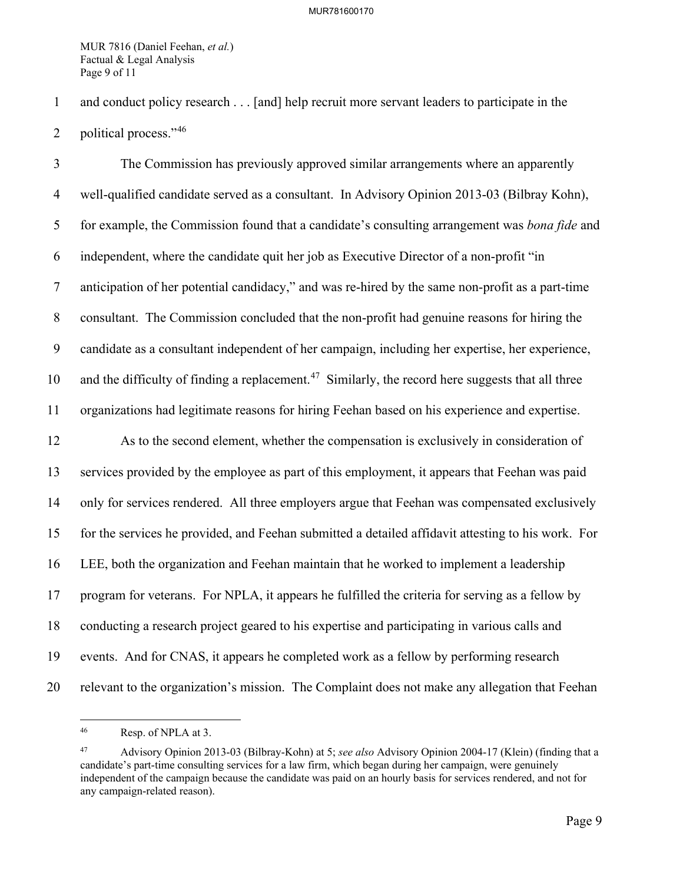MUR 7816 (Daniel Feehan, *et al.*) Factual & Legal Analysis Page 9 of 11

1 and conduct policy research . . . [and] help recruit more servant leaders to participate in the

2 political process." $46$ 

3 The Commission has previously approved similar arrangements where an apparently 4 well-qualified candidate served as a consultant. In Advisory Opinion 2013-03 (Bilbray Kohn), 5 for example, the Commission found that a candidate's consulting arrangement was *bona fide* and 6 independent, where the candidate quit her job as Executive Director of a non-profit "in 7 anticipation of her potential candidacy," and was re-hired by the same non-profit as a part-time 8 consultant. The Commission concluded that the non-profit had genuine reasons for hiring the 9 candidate as a consultant independent of her campaign, including her expertise, her experience, 10 and the difficulty of finding a replacement.<sup>[47](#page-9-1)</sup> Similarly, the record here suggests that all three 11 organizations had legitimate reasons for hiring Feehan based on his experience and expertise. 12 As to the second element, whether the compensation is exclusively in consideration of 13 services provided by the employee as part of this employment, it appears that Feehan was paid 14 only for services rendered. All three employers argue that Feehan was compensated exclusively 15 for the services he provided, and Feehan submitted a detailed affidavit attesting to his work. For 16 LEE, both the organization and Feehan maintain that he worked to implement a leadership 17 program for veterans. For NPLA, it appears he fulfilled the criteria for serving as a fellow by 18 conducting a research project geared to his expertise and participating in various calls and 19 events. And for CNAS, it appears he completed work as a fellow by performing research 20 relevant to the organization's mission. The Complaint does not make any allegation that Feehan

<span id="page-9-0"></span><sup>46</sup> Resp. of NPLA at 3.

<span id="page-9-1"></span><sup>47</sup> Advisory Opinion 2013-03 (Bilbray-Kohn) at 5; *see also* Advisory Opinion 2004-17 (Klein) (finding that a candidate's part-time consulting services for a law firm, which began during her campaign, were genuinely independent of the campaign because the candidate was paid on an hourly basis for services rendered, and not for any campaign-related reason).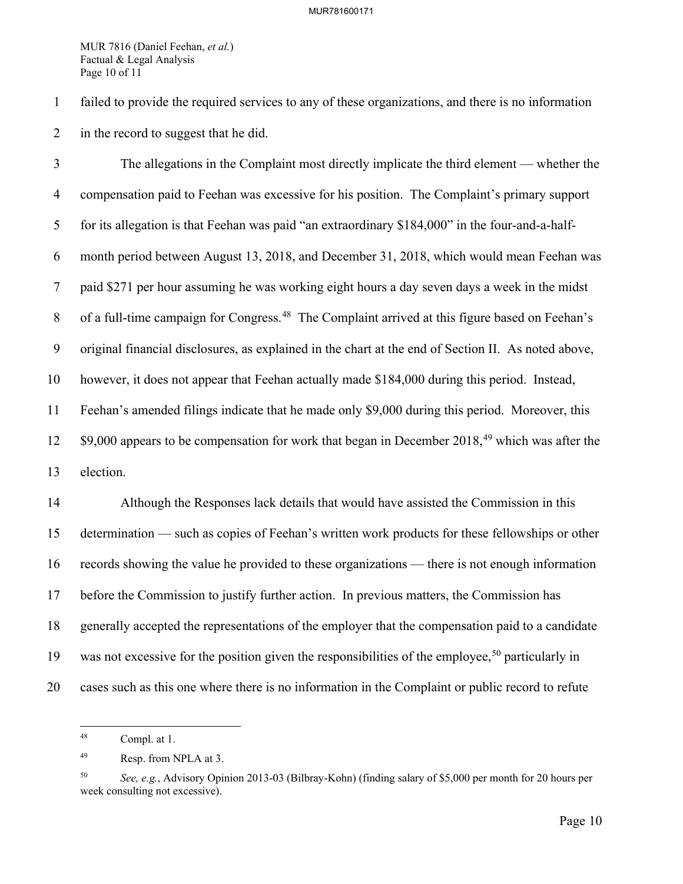MUR 7816 (Daniel Feehan, *et al.*) Factual & Legal Analysis Page 10 of 11

1 failed to provide the required services to any of these organizations, and there is no information 2 in the record to suggest that he did.

3 The allegations in the Complaint most directly implicate the third element — whether the 4 compensation paid to Feehan was excessive for his position. The Complaint's primary support 5 for its allegation is that Feehan was paid "an extraordinary \$184,000" in the four-and-a-half-6 month period between August 13, 2018, and December 31, 2018, which would mean Feehan was 7 paid \$271 per hour assuming he was working eight hours a day seven days a week in the midst 8 of a full-time campaign for Congress.<sup>[48](#page-10-0)</sup> The Complaint arrived at this figure based on Feehan's 9 original financial disclosures, as explained in the chart at the end of Section II. As noted above, 10 however, it does not appear that Feehan actually made \$184,000 during this period. Instead, 11 Feehan's amended filings indicate that he made only \$9,000 during this period. Moreover, this  $12$  \$9,000 appears to be compensation for work that began in December 2018,<sup>[49](#page-10-1)</sup> which was after the 13 election.

14 Although the Responses lack details that would have assisted the Commission in this 15 determination — such as copies of Feehan's written work products for these fellowships or other 16 records showing the value he provided to these organizations — there is not enough information 17 before the Commission to justify further action. In previous matters, the Commission has 18 generally accepted the representations of the employer that the compensation paid to a candidate 19 was not excessive for the position given the responsibilities of the employee,<sup>[50](#page-10-2)</sup> particularly in 20 cases such as this one where there is no information in the Complaint or public record to refute

<span id="page-10-0"></span><sup>48</sup> Compl. at 1.

<span id="page-10-1"></span><sup>49</sup> Resp. from NPLA at 3.

<span id="page-10-2"></span><sup>50</sup> *See, e.g.*, Advisory Opinion 2013-03 (Bilbray-Kohn) (finding salary of \$5,000 per month for 20 hours per week consulting not excessive).